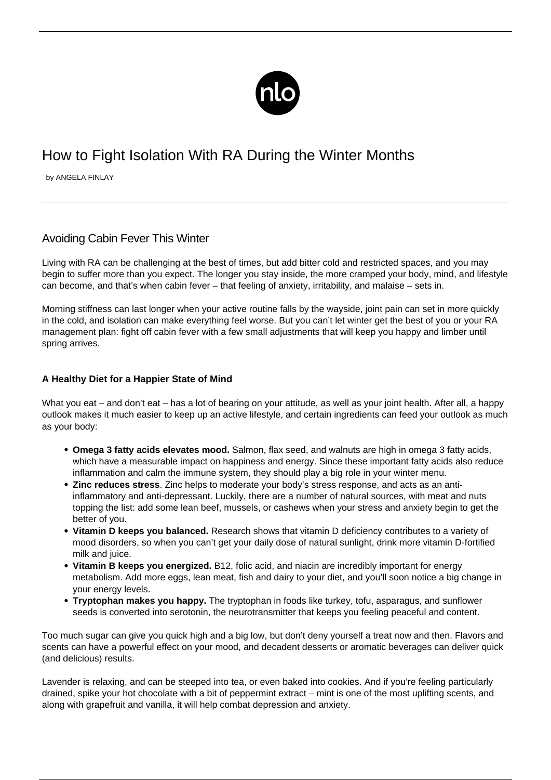

# How to Fight Isolation With RA During the Winter Months

by ANGELA FINLAY

## Avoiding Cabin Fever This Winter

Living with RA can be challenging at the best of times, but add bitter cold and restricted spaces, and you may begin to suffer more than you expect. The longer you stay inside, the more cramped your body, mind, and lifestyle can become, and that's when cabin fever – that feeling of anxiety, irritability, and malaise – sets in.

Morning stiffness can last longer when your active routine falls by the wayside, joint pain can set in more quickly in the cold, and isolation can make everything feel worse. But you can't let winter get the best of you or your RA management plan: fight off cabin fever with a few small adjustments that will keep you happy and limber until spring arrives.

### **A Healthy Diet for a Happier State of Mind**

What you eat – and don't eat – has a lot of bearing on your attitude, as well as your joint health. After all, a happy outlook makes it much easier to keep up an active lifestyle, and certain ingredients can feed your outlook as much as your body:

- **Omega 3 fatty acids elevates mood.** Salmon, flax seed, and walnuts are high in omega 3 fatty acids, which have a measurable impact on happiness and energy. Since these important fatty acids also reduce inflammation and calm the immune system, they should play a big role in your winter menu.
- **Zinc reduces stress**. Zinc helps to moderate your body's stress response, and acts as an antiinflammatory and anti-depressant. Luckily, there are a number of natural sources, with meat and nuts topping the list: add some lean beef, mussels, or cashews when your stress and anxiety begin to get the better of you.
- **Vitamin D keeps you balanced.** Research shows that vitamin D deficiency contributes to a variety of mood disorders, so when you can't get your daily dose of natural sunlight, drink more vitamin D-fortified milk and juice.
- **Vitamin B keeps you energized.** B12, folic acid, and niacin are incredibly important for energy metabolism. Add more eggs, lean meat, fish and dairy to your diet, and you'll soon notice a big change in your energy levels.
- **Tryptophan makes you happy.** The tryptophan in foods like turkey, tofu, asparagus, and sunflower seeds is converted into serotonin, the neurotransmitter that keeps you feeling peaceful and content.

Too much sugar can give you quick high and a big low, but don't deny yourself a treat now and then. Flavors and scents can have a powerful effect on your mood, and decadent desserts or aromatic beverages can deliver quick (and delicious) results.

Lavender is relaxing, and can be steeped into tea, or even baked into cookies. And if you're feeling particularly drained, spike your hot chocolate with a bit of peppermint extract – mint is one of the most uplifting scents, and along with grapefruit and vanilla, it will help combat depression and anxiety.